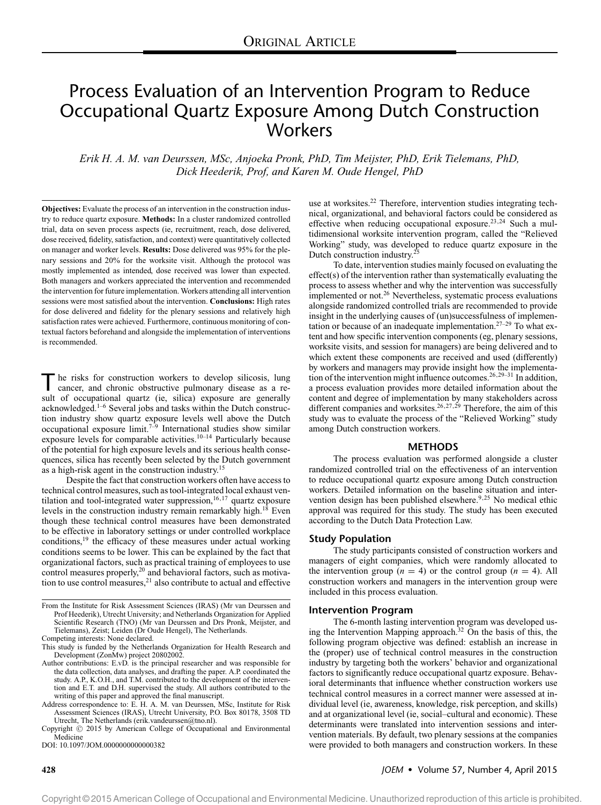# Process Evaluation of an Intervention Program to Reduce Occupational Quartz Exposure Among Dutch Construction Workers

*Erik H. A. M. van Deurssen, MSc, Anjoeka Pronk, PhD, Tim Meijster, PhD, Erik Tielemans, PhD, Dick Heederik, Prof, and Karen M. Oude Hengel, PhD*

**Objectives:** Evaluate the process of an intervention in the construction industry to reduce quartz exposure. **Methods:** In a cluster randomized controlled trial, data on seven process aspects (ie, recruitment, reach, dose delivered, dose received, fidelity, satisfaction, and context) were quantitatively collected on manager and worker levels. **Results:** Dose delivered was 95% for the plenary sessions and 20% for the worksite visit. Although the protocol was mostly implemented as intended, dose received was lower than expected. Both managers and workers appreciated the intervention and recommended the intervention for future implementation. Workers attending all intervention sessions were most satisfied about the intervention. **Conclusions:** High rates for dose delivered and fidelity for the plenary sessions and relatively high satisfaction rates were achieved. Furthermore, continuous monitoring of contextual factors beforehand and alongside the implementation of interventions is recommended.

The risks for construction workers to develop silicosis, lung<br>cancer, and chronic obstructive pulmonary disease as a result of occupational quartz (ie, silica) exposure are generally acknowledged.1–6 Several jobs and tasks within the Dutch construction industry show quartz exposure levels well above the Dutch occupational exposure limit.<sup>7–9</sup> International studies show similar exposure levels for comparable activities.<sup>10–14</sup> Particularly because of the potential for high exposure levels and its serious health consequences, silica has recently been selected by the Dutch government as a high-risk agent in the construction industry.15

Despite the fact that construction workers often have access to technical control measures, such as tool-integrated local exhaust ventilation and tool-integrated water suppression, $16,17$  quartz exposure levels in the construction industry remain remarkably high.<sup>18</sup> Even though these technical control measures have been demonstrated to be effective in laboratory settings or under controlled workplace conditions,<sup>19</sup> the efficacy of these measures under actual working conditions seems to be lower. This can be explained by the fact that organizational factors, such as practical training of employees to use control measures properly,<sup>20</sup> and behavioral factors, such as motivation to use control measures, $21$  also contribute to actual and effective

Copyright  $\odot$  2015 by American College of Occupational and Environmental Medicine

DOI: 10.1097/JOM.0000000000000382

use at worksites.<sup>22</sup> Therefore, intervention studies integrating technical, organizational, and behavioral factors could be considered as effective when reducing occupational exposure.<sup>23,24</sup> Such a multidimensional worksite intervention program, called the "Relieved Working" study, was developed to reduce quartz exposure in the Dutch construction industry.25

To date, intervention studies mainly focused on evaluating the effect(s) of the intervention rather than systematically evaluating the process to assess whether and why the intervention was successfully implemented or not.<sup>26</sup> Nevertheless, systematic process evaluations alongside randomized controlled trials are recommended to provide insight in the underlying causes of (un)successfulness of implementation or because of an inadequate implementation.27–29 To what extent and how specific intervention components (eg, plenary sessions, worksite visits, and session for managers) are being delivered and to which extent these components are received and used (differently) by workers and managers may provide insight how the implementation of the intervention might influence outcomes.<sup>26,29–31</sup> In addition, a process evaluation provides more detailed information about the content and degree of implementation by many stakeholders across different companies and worksites.<sup>26,27,29</sup> Therefore, the aim of this study was to evaluate the process of the "Relieved Working" study among Dutch construction workers.

#### **METHODS**

The process evaluation was performed alongside a cluster randomized controlled trial on the effectiveness of an intervention to reduce occupational quartz exposure among Dutch construction workers. Detailed information on the baseline situation and intervention design has been published elsewhere.<sup>9,25</sup> No medical ethic approval was required for this study. The study has been executed according to the Dutch Data Protection Law.

#### **Study Population**

The study participants consisted of construction workers and managers of eight companies, which were randomly allocated to the intervention group  $(n = 4)$  or the control group  $(n = 4)$ . All construction workers and managers in the intervention group were included in this process evaluation.

#### **Intervention Program**

The 6-month lasting intervention program was developed using the Intervention Mapping approach.32 On the basis of this, the following program objective was defined: establish an increase in the (proper) use of technical control measures in the construction industry by targeting both the workers' behavior and organizational factors to significantly reduce occupational quartz exposure. Behavioral determinants that influence whether construction workers use technical control measures in a correct manner were assessed at individual level (ie, awareness, knowledge, risk perception, and skills) and at organizational level (ie, social–cultural and economic). These determinants were translated into intervention sessions and intervention materials. By default, two plenary sessions at the companies were provided to both managers and construction workers. In these

From the Institute for Risk Assessment Sciences (IRAS) (Mr van Deurssen and Prof Heederik), Utrecht University; and Netherlands Organization for Applied Scientific Research (TNO) (Mr van Deurssen and Drs Pronk, Meijster, and Tielemans), Zeist; Leiden (Dr Oude Hengel), The Netherlands.

Competing interests: None declared.

This study is funded by the Netherlands Organization for Health Research and Development (ZonMw) project 20802002.

Author contributions: E.vD. is the principal researcher and was responsible for the data collection, data analyses, and drafting the paper. A.P. coordinated the study. A.P., K.O.H., and T.M. contributed to the development tion and E.T. and D.H. supervised the study. All authors contributed to the writing of this paper and approved the final manuscript.

Address correspondence to: E. H. A. M. van Deurssen, MSc, Institute for Risk Assessment Sciences (IRAS), Utrecht University, P.O. Box 80178, 3508 TD Utrecht, The Netherlands [\(erik.vandeurssen@tno.nl\)](mailto:erik.vandeurssen@tno.nl).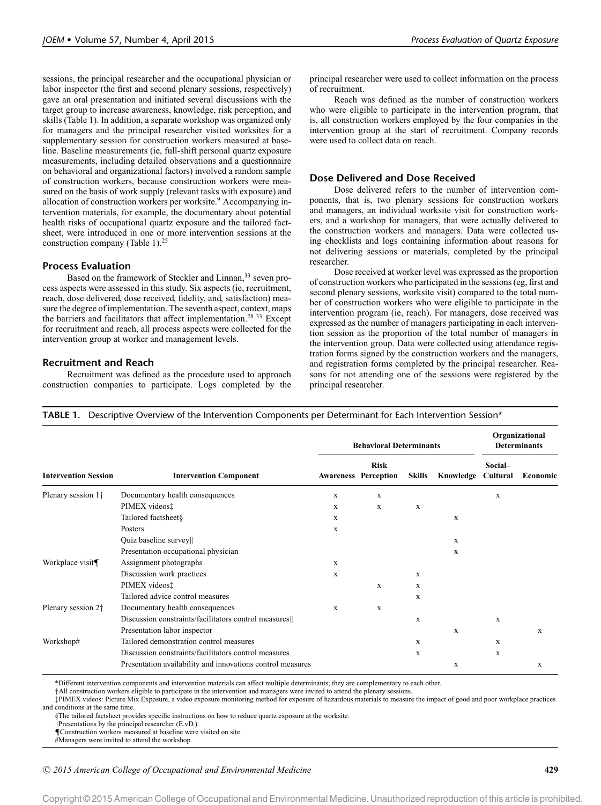sessions, the principal researcher and the occupational physician or labor inspector (the first and second plenary sessions, respectively) gave an oral presentation and initiated several discussions with the target group to increase awareness, knowledge, risk perception, and skills (Table 1). In addition, a separate workshop was organized only for managers and the principal researcher visited worksites for a supplementary session for construction workers measured at baseline. Baseline measurements (ie, full-shift personal quartz exposure measurements, including detailed observations and a questionnaire on behavioral and organizational factors) involved a random sample of construction workers, because construction workers were measured on the basis of work supply (relevant tasks with exposure) and allocation of construction workers per worksite.<sup>9</sup> Accompanying intervention materials, for example, the documentary about potential health risks of occupational quartz exposure and the tailored factsheet, were introduced in one or more intervention sessions at the construction company (Table 1).<sup>25</sup>

# **Process Evaluation**

Based on the framework of Steckler and Linnan,<sup>33</sup> seven process aspects were assessed in this study. Six aspects (ie, recruitment, reach, dose delivered, dose received, fidelity, and, satisfaction) measure the degree of implementation. The seventh aspect, context, maps the barriers and facilitators that affect implementation.<sup>28,33</sup> Except for recruitment and reach, all process aspects were collected for the intervention group at worker and management levels.

# **Recruitment and Reach**

Recruitment was defined as the procedure used to approach construction companies to participate. Logs completed by the

principal researcher were used to collect information on the process of recruitment.

Reach was defined as the number of construction workers who were eligible to participate in the intervention program, that is, all construction workers employed by the four companies in the intervention group at the start of recruitment. Company records were used to collect data on reach.

# **Dose Delivered and Dose Received**

Dose delivered refers to the number of intervention components, that is, two plenary sessions for construction workers and managers, an individual worksite visit for construction workers, and a workshop for managers, that were actually delivered to the construction workers and managers. Data were collected using checklists and logs containing information about reasons for not delivering sessions or materials, completed by the principal researcher.

Dose received at worker level was expressed as the proportion of construction workers who participated in the sessions (eg, first and second plenary sessions, worksite visit) compared to the total number of construction workers who were eligible to participate in the intervention program (ie, reach). For managers, dose received was expressed as the number of managers participating in each intervention session as the proportion of the total number of managers in the intervention group. Data were collected using attendance registration forms signed by the construction workers and the managers, and registration forms completed by the principal researcher. Reasons for not attending one of the sessions were registered by the principal researcher.

|  |  |  |  |  | <b>TABLE 1.</b> Descriptive Overview of the Intervention Components per Determinant for Each Intervention Session* |
|--|--|--|--|--|--------------------------------------------------------------------------------------------------------------------|
|--|--|--|--|--|--------------------------------------------------------------------------------------------------------------------|

|                                |                                                            |                                            | <b>Behavioral Determinants</b> | Organizational<br><b>Determinants</b> |           |                     |          |
|--------------------------------|------------------------------------------------------------|--------------------------------------------|--------------------------------|---------------------------------------|-----------|---------------------|----------|
| <b>Intervention Session</b>    | <b>Intervention Component</b>                              | <b>Risk</b><br><b>Awareness Perception</b> |                                | <b>Skills</b>                         | Knowledge | Social-<br>Cultural | Economic |
| Plenary session 1 <sup>+</sup> | Documentary health consequences                            | $\mathbf X$                                | $\mathbf X$                    |                                       |           | X                   |          |
|                                | PIMEX videos‡                                              | X                                          | X                              | X                                     |           |                     |          |
|                                | Tailored factsheet§                                        | X                                          |                                |                                       | X         |                     |          |
|                                | Posters                                                    | X                                          |                                |                                       |           |                     |          |
|                                | Quiz baseline survey                                       |                                            |                                |                                       | X         |                     |          |
|                                | Presentation occupational physician                        |                                            |                                |                                       | X         |                     |          |
| Workplace visit¶               | Assignment photographs                                     | $\mathbf X$                                |                                |                                       |           |                     |          |
|                                | Discussion work practices                                  | X                                          |                                | $\mathbf{x}$                          |           |                     |          |
|                                | PIMEX videos‡                                              |                                            | X                              | X                                     |           |                     |          |
|                                | Tailored advice control measures                           |                                            |                                | X                                     |           |                     |          |
| Plenary session 2 <sup>+</sup> | Documentary health consequences                            | $\mathbf X$                                | $\mathbf X$                    |                                       |           |                     |          |
|                                | Discussion constraints/facilitators control measures       |                                            |                                | X                                     |           | X                   |          |
|                                | Presentation labor inspector                               |                                            |                                |                                       | X         |                     | X        |
| Workshop#                      | Tailored demonstration control measures                    |                                            |                                | $\mathbf X$                           |           | X                   |          |
|                                | Discussion constraints/facilitators control measures       |                                            |                                | X                                     |           | X                   |          |
|                                | Presentation availability and innovations control measures |                                            |                                |                                       | X         |                     | X        |

\*Different intervention components and intervention materials can affect multiple determinants; they are complementary to each other.

†All construction workers eligible to participate in the intervention and managers were invited to attend the plenary sessions.

‡PIMEX videos: Picture Mix Exposure, a video exposure monitoring method for exposure of hazardous materials to measure the impact of good and poor workplace practices and conditions at the same time.

§The tailored factsheet provides specific instructions on how to reduce quartz exposure at the worksite.

Presentations by the principal researcher (E.vD.).

¶Construction workers measured at baseline were visited on site.

#Managers were invited to attend the workshop.

-<sup>C</sup> *2015 American College of Occupational and Environmental Medicine* **429**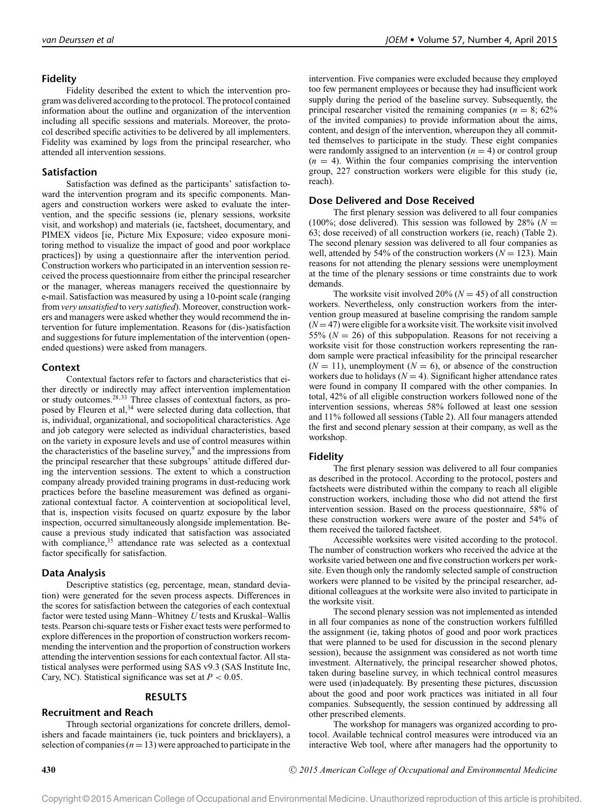## **Fidelity**

Fidelity described the extent to which the intervention program was delivered according to the protocol. The protocol contained information about the outline and organization of the intervention including all specific sessions and materials. Moreover, the protocol described specific activities to be delivered by all implementers. Fidelity was examined by logs from the principal researcher, who attended all intervention sessions.

#### **Satisfaction**

Satisfaction was defined as the participants' satisfaction toward the intervention program and its specific components. Managers and construction workers were asked to evaluate the intervention, and the specific sessions (ie, plenary sessions, worksite visit, and workshop) and materials (ie, factsheet, documentary, and PIMEX videos [ie, Picture Mix Exposure; video exposure monitoring method to visualize the impact of good and poor workplace practices]) by using a questionnaire after the intervention period. Construction workers who participated in an intervention session received the process questionnaire from either the principal researcher or the manager, whereas managers received the questionnaire by e-mail. Satisfaction was measured by using a 10-point scale (ranging from *very unsatisfied* to *very satisfied*). Moreover, construction workers and managers were asked whether they would recommend the intervention for future implementation. Reasons for (dis-)satisfaction and suggestions for future implementation of the intervention (openended questions) were asked from managers.

## **Context**

Contextual factors refer to factors and characteristics that either directly or indirectly may affect intervention implementation or study outcomes.28,33 Three classes of contextual factors, as proposed by Fleuren et al,<sup>34</sup> were selected during data collection, that is, individual, organizational, and sociopolitical characteristics. Age and job category were selected as individual characteristics, based on the variety in exposure levels and use of control measures within the characteristics of the baseline survey, $9$  and the impressions from the principal researcher that these subgroups' attitude differed during the intervention sessions. The extent to which a construction company already provided training programs in dust-reducing work practices before the baseline measurement was defined as organizational contextual factor. A cointervention at sociopolitical level, that is, inspection visits focused on quartz exposure by the labor inspection, occurred simultaneously alongside implementation. Because a previous study indicated that satisfaction was associated with compliance,<sup>35</sup> attendance rate was selected as a contextual factor specifically for satisfaction.

#### **Data Analysis**

Descriptive statistics (eg, percentage, mean, standard deviation) were generated for the seven process aspects. Differences in the scores for satisfaction between the categories of each contextual factor were tested using Mann–Whitney *U* tests and Kruskal–Wallis tests. Pearson chi-square tests or Fisher exact tests were performed to explore differences in the proportion of construction workers recommending the intervention and the proportion of construction workers attending the intervention sessions for each contextual factor. All statistical analyses were performed using SAS v9.3 (SAS Institute Inc, Cary, NC). Statistical significance was set at  $P < 0.05$ .

## **RESULTS**

## **Recruitment and Reach**

Through sectorial organizations for concrete drillers, demolishers and facade maintainers (ie, tuck pointers and bricklayers), a selection of companies  $(n = 13)$  were approached to participate in the

intervention. Five companies were excluded because they employed too few permanent employees or because they had insufficient work supply during the period of the baseline survey. Subsequently, the principal researcher visited the remaining companies ( $n = 8$ ; 62%) of the invited companies) to provide information about the aims, content, and design of the intervention, whereupon they all committed themselves to participate in the study. These eight companies were randomly assigned to an intervention  $(n = 4)$  or control group  $(n = 4)$ . Within the four companies comprising the intervention group, 227 construction workers were eligible for this study (ie, reach).

#### **Dose Delivered and Dose Received**

The first plenary session was delivered to all four companies (100%; dose delivered). This session was followed by  $28\%$  ( $N =$ 63; dose received) of all construction workers (ie, reach) (Table 2). The second plenary session was delivered to all four companies as well, attended by 54% of the construction workers ( $N = 123$ ). Main reasons for not attending the plenary sessions were unemployment at the time of the plenary sessions or time constraints due to work demands.

The worksite visit involved 20% ( $N = 45$ ) of all construction workers. Nevertheless, only construction workers from the intervention group measured at baseline comprising the random sample  $(N=47)$  were eligible for a worksite visit. The worksite visit involved 55% ( $N = 26$ ) of this subpopulation. Reasons for not receiving a worksite visit for those construction workers representing the random sample were practical infeasibility for the principal researcher  $(N = 11)$ , unemployment  $(N = 6)$ , or absence of the construction workers due to holidays  $(N = 4)$ . Significant higher attendance rates were found in company II compared with the other companies. In total, 42% of all eligible construction workers followed none of the intervention sessions, whereas 58% followed at least one session and 11% followed all sessions (Table 2). All four managers attended the first and second plenary session at their company, as well as the workshop.

#### **Fidelity**

The first plenary session was delivered to all four companies as described in the protocol. According to the protocol, posters and factsheets were distributed within the company to reach all eligible construction workers, including those who did not attend the first intervention session. Based on the process questionnaire, 58% of these construction workers were aware of the poster and 54% of them received the tailored factsheet.

Accessible worksites were visited according to the protocol. The number of construction workers who received the advice at the worksite varied between one and five construction workers per worksite. Even though only the randomly selected sample of construction workers were planned to be visited by the principal researcher, additional colleagues at the worksite were also invited to participate in the worksite visit.

The second plenary session was not implemented as intended in all four companies as none of the construction workers fulfilled the assignment (ie, taking photos of good and poor work practices that were planned to be used for discussion in the second plenary session), because the assignment was considered as not worth time investment. Alternatively, the principal researcher showed photos, taken during baseline survey, in which technical control measures were used (in)adequately. By presenting these pictures, discussion about the good and poor work practices was initiated in all four companies. Subsequently, the session continued by addressing all other prescribed elements.

The workshop for managers was organized according to protocol. Available technical control measures were introduced via an interactive Web tool, where after managers had the opportunity to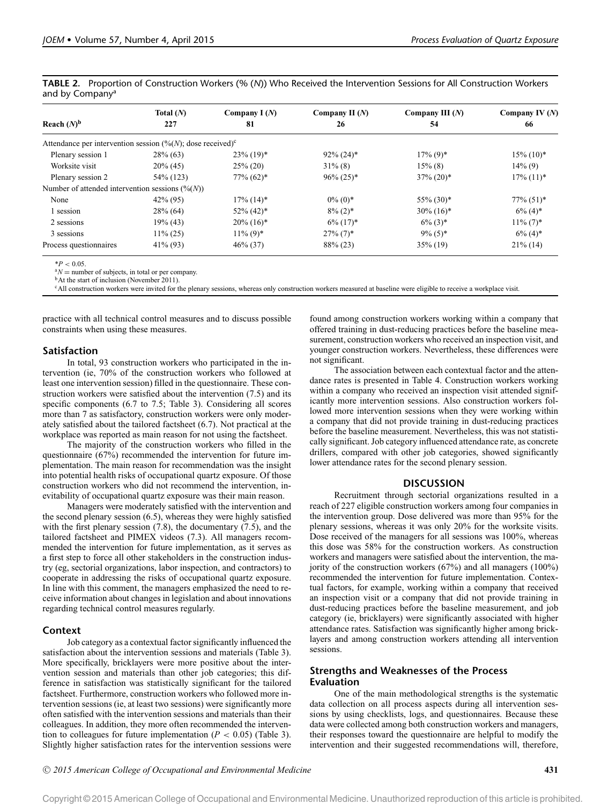|                             |  | TABLE 2. Proportion of Construction Workers (% (N)) Who Received the Intervention Sessions for All Construction Workers |  |  |  |  |  |
|-----------------------------|--|-------------------------------------------------------------------------------------------------------------------------|--|--|--|--|--|
| and by Company <sup>a</sup> |  |                                                                                                                         |  |  |  |  |  |

|                                                                                    | Total $(N)$ | Company $I(N)$           | Company II $(N)$        | Company III $(N)$        | Company IV $(N)$         |  |
|------------------------------------------------------------------------------------|-------------|--------------------------|-------------------------|--------------------------|--------------------------|--|
| Reach $(N)^b$                                                                      | 227         | 81                       | 26                      | 54                       | 66                       |  |
| Attendance per intervention session $(\frac{\%}{N})$ ; dose received) <sup>c</sup> |             |                          |                         |                          |                          |  |
| Plenary session 1                                                                  | $28\%$ (63) | $23\%$ (19)*             | $92\% (24)^*$           | $17\%$ (9) <sup>*</sup>  | $15\%$ (10) <sup>*</sup> |  |
| Worksite visit                                                                     | $20\%$ (45) | $25\% (20)$              | $31\%$ (8)              | $15\%$ (8)               | $14\%$ (9)               |  |
| Plenary session 2                                                                  | 54\% (123)  | $77\% (62)^*$            | $96\% (25)^*$           | $37\% (20)$ *            | $17\%$ (11) <sup>*</sup> |  |
| Number of attended intervention sessions $(\frac{6}{N})$                           |             |                          |                         |                          |                          |  |
| None                                                                               | $42\%$ (95) | $17\%$ (14) <sup>*</sup> | $0\%$ (0)*              | $55\%$ (30) <sup>*</sup> | $77\%$ $(51)^*$          |  |
| 1 session                                                                          | $28\%$ (64) | $52\%$ (42) <sup>*</sup> | $8\%$ (2) <sup>*</sup>  | $30\% (16)^*$            | $6\%$ (4) <sup>*</sup>   |  |
| 2 sessions                                                                         | $19\%$ (43) | $20\%$ (16) <sup>*</sup> | $6\%$ (17) <sup>*</sup> | $6\%$ (3) <sup>*</sup>   | $11\% (7)^*$             |  |
| 3 sessions                                                                         | $11\% (25)$ | $11\%$ (9) <sup>*</sup>  | $27\%$ (7) <sup>*</sup> | $9\%$ (5) <sup>*</sup>   | $6\%$ (4) <sup>*</sup>   |  |
| Process questionnaires                                                             | $41\%$ (93) | $46\% (37)$              | 88% (23)                | $35\%$ (19)              | $21\%$ (14)              |  |

\**<sup>P</sup>* <sup>&</sup>lt; 0.05. <sup>a</sup>*<sup>N</sup>* <sup>=</sup> number of subjects, in total or per company. bAt the start of inclusion (November 2011).

<sup>c</sup>All construction workers were invited for the plenary sessions, whereas only construction workers measured at baseline were eligible to receive a workplace visit.

practice with all technical control measures and to discuss possible constraints when using these measures.

# **Satisfaction**

In total, 93 construction workers who participated in the intervention (ie, 70% of the construction workers who followed at least one intervention session) filled in the questionnaire. These construction workers were satisfied about the intervention (7.5) and its specific components (6.7 to 7.5; Table 3). Considering all scores more than 7 as satisfactory, construction workers were only moderately satisfied about the tailored factsheet (6.7). Not practical at the workplace was reported as main reason for not using the factsheet.

The majority of the construction workers who filled in the questionnaire (67%) recommended the intervention for future implementation. The main reason for recommendation was the insight into potential health risks of occupational quartz exposure. Of those construction workers who did not recommend the intervention, inevitability of occupational quartz exposure was their main reason.

Managers were moderately satisfied with the intervention and the second plenary session (6.5), whereas they were highly satisfied with the first plenary session (7.8), the documentary (7.5), and the tailored factsheet and PIMEX videos (7.3). All managers recommended the intervention for future implementation, as it serves as a first step to force all other stakeholders in the construction industry (eg, sectorial organizations, labor inspection, and contractors) to cooperate in addressing the risks of occupational quartz exposure. In line with this comment, the managers emphasized the need to receive information about changes in legislation and about innovations regarding technical control measures regularly.

# **Context**

Job category as a contextual factor significantly influenced the satisfaction about the intervention sessions and materials (Table 3). More specifically, bricklayers were more positive about the intervention session and materials than other job categories; this difference in satisfaction was statistically significant for the tailored factsheet. Furthermore, construction workers who followed more intervention sessions (ie, at least two sessions) were significantly more often satisfied with the intervention sessions and materials than their colleagues. In addition, they more often recommended the intervention to colleagues for future implementation  $(P < 0.05)$  (Table 3). Slightly higher satisfaction rates for the intervention sessions were

found among construction workers working within a company that offered training in dust-reducing practices before the baseline measurement, construction workers who received an inspection visit, and younger construction workers. Nevertheless, these differences were not significant.

The association between each contextual factor and the attendance rates is presented in Table 4. Construction workers working within a company who received an inspection visit attended significantly more intervention sessions. Also construction workers followed more intervention sessions when they were working within a company that did not provide training in dust-reducing practices before the baseline measurement. Nevertheless, this was not statistically significant. Job category influenced attendance rate, as concrete drillers, compared with other job categories, showed significantly lower attendance rates for the second plenary session.

## **DISCUSSION**

Recruitment through sectorial organizations resulted in a reach of 227 eligible construction workers among four companies in the intervention group. Dose delivered was more than 95% for the plenary sessions, whereas it was only 20% for the worksite visits. Dose received of the managers for all sessions was 100%, whereas this dose was 58% for the construction workers. As construction workers and managers were satisfied about the intervention, the majority of the construction workers (67%) and all managers (100%) recommended the intervention for future implementation. Contextual factors, for example, working within a company that received an inspection visit or a company that did not provide training in dust-reducing practices before the baseline measurement, and job category (ie, bricklayers) were significantly associated with higher attendance rates. Satisfaction was significantly higher among bricklayers and among construction workers attending all intervention sessions.

# **Strengths and Weaknesses of the Process Evaluation**

One of the main methodological strengths is the systematic data collection on all process aspects during all intervention sessions by using checklists, logs, and questionnaires. Because these data were collected among both construction workers and managers, their responses toward the questionnaire are helpful to modify the intervention and their suggested recommendations will, therefore,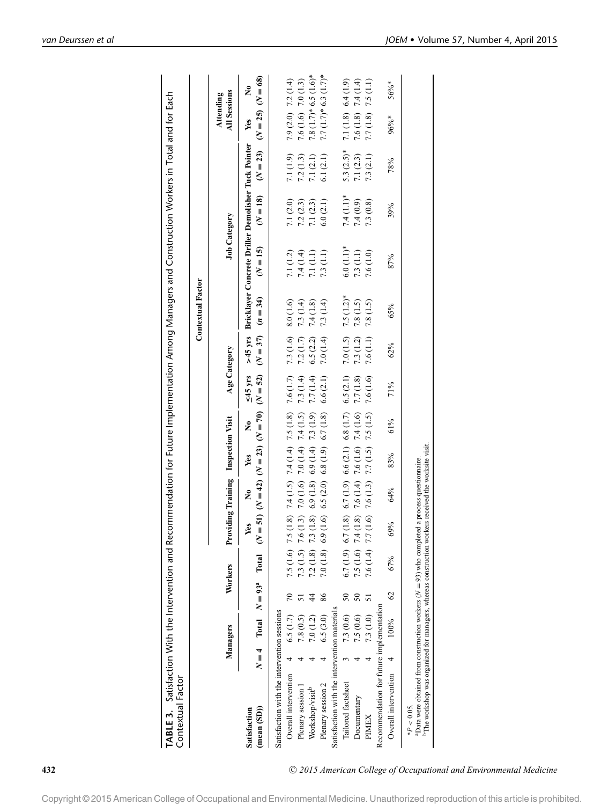| $6.0(1.1)$ *<br>$(N = 15)$<br>7.1 (1.2)<br>7.3(1.1)<br>7.4(1.4)<br>7.6(1.0)<br>7.3 (1.1)<br>7.1(1.1)<br>7.0 $(1.5)$ 7.5 $(1.2)$ *<br>$(N = 37)$ $(n = 34)$<br>8.0(1.6)<br>7.8(1.5)<br>7.3 (1.4)<br>7.3 (1.4)<br>7.8 (1.5)<br>7.4(1.8)<br>7.3(1.6)<br>7.3(1.2)<br>7.2(1.7)<br>6.5(2.2)<br>7.0(1.4)<br>$7.6(1.1)$<br>Age Category<br>$(N = 51)$ $(N = 42)$ $(N = 23)$ $(N = 52)$<br>$\leq 45$ yrs<br>6.5(2.1)<br>$(1.8)$ 7.4 $(1.5)$ 7.4 $(1.4)$ 7.5 $(1.8)$ 7.6 $(1.7)$<br>7.7(1.8)<br>7.3 (1.4)<br>7.6 (1.6)<br>7.7(1.4)<br>6.6(2.1)<br>$(1.8)$ 6.7 $(1.9)$ 6.6 $(2.1)$ 6.8 $(1.7)$<br>$(1.8)$ 7.6 $(1.4)$ 7.6 $(1.6)$ 7.4 $(1.6)$<br>$(1.3)$ 7.0 $(1.6)$ 7.0 $(1.4)$ 7.4 $(1.5)$<br>$(1.6)$ 7.6 $(1.3)$ 7.7 $(1.5)$ 7.5 $(1.5)$<br>7.3(1.9)<br>6.7(1.8)<br>Providing Training Inspection Visit<br>ż<br>6.9(1.8) 6.9(1.4)<br>6.8(1.9)<br>Yes<br>6.5(2.0)<br>ż<br>(1.8)<br>(1.6)<br>Yes<br>7.5 (1.6) 7.5<br>7.3 (1.5) 7.6<br>6.9<br>6.7 $(1.9)$ 6.7<br>7.5 (1.6) 7.4<br>7.6 $(1.4)$ 7.7<br>7.3<br>$7.2(1.8)$ 7<br>7.0(1.8)<br>Total<br>Workers<br>Total $N = 93a$<br>$\overline{70}$<br>86<br>50<br>$50\,$<br>4<br>51<br>Recommendation for future implementation<br>Satisfaction with the intervention materials<br>Satisfaction with the intervention sessions<br>7.3 (0.6)<br>7.5 (0.6)<br>6.5(1.7)<br>7.3(1.0)<br>7.8 (0.5)<br>6.5(3.0)<br>7.0(1.2)<br>Managers<br>$N=4$<br>Overall intervention<br>Tailored factsheet<br>Plenary session 2<br>Plenary session 1<br>Workshop/visit <sup>b</sup><br>Documentary<br>$(\text{mean}(SD))$<br>Satisfaction<br>PIMEX | <b>Contextual Factor</b>                                                |                                                 |
|-------------------------------------------------------------------------------------------------------------------------------------------------------------------------------------------------------------------------------------------------------------------------------------------------------------------------------------------------------------------------------------------------------------------------------------------------------------------------------------------------------------------------------------------------------------------------------------------------------------------------------------------------------------------------------------------------------------------------------------------------------------------------------------------------------------------------------------------------------------------------------------------------------------------------------------------------------------------------------------------------------------------------------------------------------------------------------------------------------------------------------------------------------------------------------------------------------------------------------------------------------------------------------------------------------------------------------------------------------------------------------------------------------------------------------------------------------------------------------------------------------------------------------------------------------------------|-------------------------------------------------------------------------|-------------------------------------------------|
|                                                                                                                                                                                                                                                                                                                                                                                                                                                                                                                                                                                                                                                                                                                                                                                                                                                                                                                                                                                                                                                                                                                                                                                                                                                                                                                                                                                                                                                                                                                                                                   | <b>Job Category</b>                                                     | <b>All Sessions</b><br>Attending                |
|                                                                                                                                                                                                                                                                                                                                                                                                                                                                                                                                                                                                                                                                                                                                                                                                                                                                                                                                                                                                                                                                                                                                                                                                                                                                                                                                                                                                                                                                                                                                                                   | >45 yrs Bricklayer Concrete Driller Demolisher Tuck Pointer<br>$(N=18)$ | $(N = 25)$ $(N = 68)$<br>ż<br>Yes<br>$(N = 23)$ |
|                                                                                                                                                                                                                                                                                                                                                                                                                                                                                                                                                                                                                                                                                                                                                                                                                                                                                                                                                                                                                                                                                                                                                                                                                                                                                                                                                                                                                                                                                                                                                                   |                                                                         |                                                 |
|                                                                                                                                                                                                                                                                                                                                                                                                                                                                                                                                                                                                                                                                                                                                                                                                                                                                                                                                                                                                                                                                                                                                                                                                                                                                                                                                                                                                                                                                                                                                                                   | 7.1 (2.0)                                                               | $7.9(2.0)$ $7.2(1.4)$<br>7.1 (1.9)              |
|                                                                                                                                                                                                                                                                                                                                                                                                                                                                                                                                                                                                                                                                                                                                                                                                                                                                                                                                                                                                                                                                                                                                                                                                                                                                                                                                                                                                                                                                                                                                                                   | 7.2(2.3)                                                                | 7.6 $(1.6)$ 7.0 $(1.3)$<br>7.2(1.3)             |
|                                                                                                                                                                                                                                                                                                                                                                                                                                                                                                                                                                                                                                                                                                                                                                                                                                                                                                                                                                                                                                                                                                                                                                                                                                                                                                                                                                                                                                                                                                                                                                   | 7.1(2.3)                                                                | $7.8(1.7)*6.5(1.6)*$<br>7.1 $(2.1)$             |
|                                                                                                                                                                                                                                                                                                                                                                                                                                                                                                                                                                                                                                                                                                                                                                                                                                                                                                                                                                                                                                                                                                                                                                                                                                                                                                                                                                                                                                                                                                                                                                   | 6.0(2.1)                                                                | $7.7(1.7)$ * 6.3 $(1.7)$ *<br>6.1(2.1)          |
|                                                                                                                                                                                                                                                                                                                                                                                                                                                                                                                                                                                                                                                                                                                                                                                                                                                                                                                                                                                                                                                                                                                                                                                                                                                                                                                                                                                                                                                                                                                                                                   |                                                                         |                                                 |
|                                                                                                                                                                                                                                                                                                                                                                                                                                                                                                                                                                                                                                                                                                                                                                                                                                                                                                                                                                                                                                                                                                                                                                                                                                                                                                                                                                                                                                                                                                                                                                   | $7.4(1.1)$ *                                                            | 7.1 (1.8) 6.4 (1.9)<br>$5.3 (2.5)$ *            |
|                                                                                                                                                                                                                                                                                                                                                                                                                                                                                                                                                                                                                                                                                                                                                                                                                                                                                                                                                                                                                                                                                                                                                                                                                                                                                                                                                                                                                                                                                                                                                                   | 7.4(0.9)                                                                | $7.6(1.8)$ $7.4(1.4)$<br>7.1 $(2.3)$            |
|                                                                                                                                                                                                                                                                                                                                                                                                                                                                                                                                                                                                                                                                                                                                                                                                                                                                                                                                                                                                                                                                                                                                                                                                                                                                                                                                                                                                                                                                                                                                                                   | 7.3(0.8)                                                                | $7.7(1.8)$ 7.5 (1.1)<br>7.3(2.1)                |
|                                                                                                                                                                                                                                                                                                                                                                                                                                                                                                                                                                                                                                                                                                                                                                                                                                                                                                                                                                                                                                                                                                                                                                                                                                                                                                                                                                                                                                                                                                                                                                   |                                                                         |                                                 |
| 87%<br>65%<br>62%<br>71%<br>61%<br>83%<br>64%<br>69%<br>67%<br>$\mathcal{S}^{\mathcal{S}}$<br>100%<br>Overall intervention                                                                                                                                                                                                                                                                                                                                                                                                                                                                                                                                                                                                                                                                                                                                                                                                                                                                                                                                                                                                                                                                                                                                                                                                                                                                                                                                                                                                                                        | 39%                                                                     | 56%*<br>96%*<br>78%                             |

<sup>C</sup> *2015 American College of Occupational and Environmental Medicine*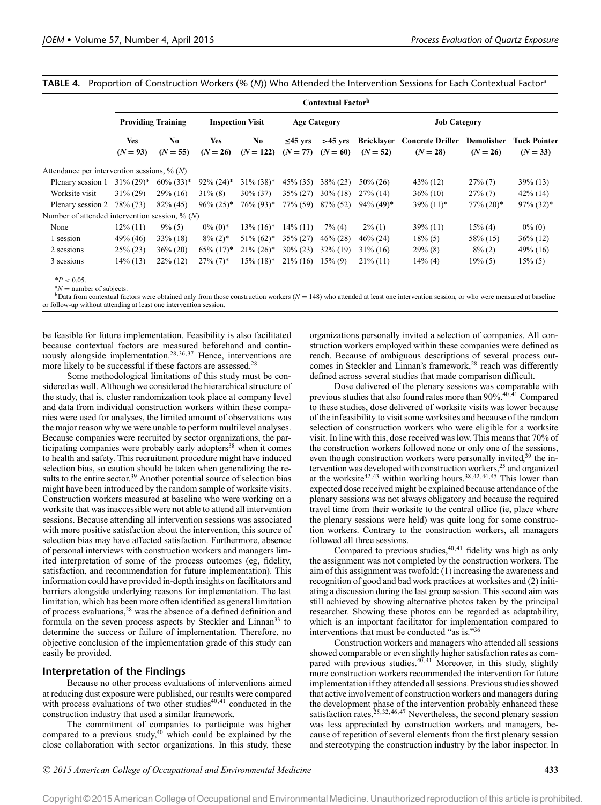**TABLE 4.** Proportion of Construction Workers (% (*N*)) Who Attended the Intervention Sessions for Each Contextual Factora

|                                                   |                           |                              |                         |                          |                             | Contextual Factor <sup>b</sup> |                                 |                                       |                          |                            |  |
|---------------------------------------------------|---------------------------|------------------------------|-------------------------|--------------------------|-----------------------------|--------------------------------|---------------------------------|---------------------------------------|--------------------------|----------------------------|--|
|                                                   | <b>Providing Training</b> |                              |                         | <b>Inspection Visit</b>  |                             | <b>Age Category</b>            |                                 |                                       | <b>Job Category</b>      |                            |  |
|                                                   | Yes<br>$(N = 93)$         | N <sub>0</sub><br>$(N = 55)$ | Yes<br>$(N = 26)$       | No<br>$(N = 122)$        | $\leq$ 45 yrs<br>$(N = 77)$ | $>45$ yrs<br>$(N = 60)$        | <b>Bricklayer</b><br>$(N = 52)$ | <b>Concrete Driller</b><br>$(N = 28)$ | Demolisher<br>$(N = 26)$ | Tuck Pointer<br>$(N = 33)$ |  |
| Attendance per intervention sessions, $\%$ (N)    |                           |                              |                         |                          |                             |                                |                                 |                                       |                          |                            |  |
| Plenary session 1                                 | $31\% (29)*$              | $60\% (33)*$                 | $92\% (24)^*$           | $31\% (38)$ *            | $45\%$ (35)                 | $38\% (23)$                    | $50\% (26)$                     | $43\%$ (12)                           | $27\%$ (7)               | $39\%$ (13)                |  |
| Worksite visit                                    | $31\% (29)$               | $29\%$ (16)                  | $31\%$ (8)              | $30\% (37)$              | $35\% (27)$                 | $30\%$ (18)                    | $27\%$ (14)                     | $36\%$ (10)                           | $27\%$ (7)               | $42\%$ (14)                |  |
| Plenary session 2                                 | 78\% (73)                 | $82\%$ (45)                  | $96\% (25)^*$           | $76\% (93)*$             | 77% (59)                    | $87\%$ (52)                    | $94\%$ (49)*                    | $39\% (11)^*$                         | $77\% (20)$ *            | $97\%$ (32)*               |  |
| Number of attended intervention session, $\%$ (N) |                           |                              |                         |                          |                             |                                |                                 |                                       |                          |                            |  |
| None                                              | $12\%$ (11)               | $9\%$ (5)                    | $0\%$ (0)*              | $13\%$ (16) <sup>*</sup> | $14\%$ (11)                 | $7\%$ (4)                      | $2\%$ (1)                       | $39\%$ (11)                           | $15\%$ (4)               | $0\%$ (0)                  |  |
| 1 session                                         | 49% (46)                  | $33\%$ (18)                  | $8\%$ (2) <sup>*</sup>  | $51\% (62)*$             | $35\% (27)$                 | $46\% (28)$                    | $46\% (24)$                     | $18\%$ (5)                            | 58\% (15)                | $36\%$ (12)                |  |
| 2 sessions                                        | $25\%$ (23)               | $36\% (20)$                  | $65\% (17)^*$           | $21\% (26)^*$            | $30\% (23)$                 | $32\%$ (19)                    | $31\%$ (16)                     | $29\%$ (8)                            | $8\%$ (2)                | $49\%$ (16)                |  |
| 3 sessions                                        | $14\%$ (13)               | $22\%$ (12)                  | $27\%$ (7) <sup>*</sup> | $15\%$ (18) <sup>*</sup> | $21\%$ (16)                 | $15\%$ (9)                     | $21\%$ (11)                     | $14\%$ (4)                            | $19\%$ (5)               | $15\%$ (5)                 |  |

 $*P < 0.05$ .<br> $*N =$  number of subjects.<br>b Data from contextual factors were obtained only from those construction workers ( $N = 148$ ) who attended at least one intervention session, or who were measured at baseline or follow-up without attending at least one intervention session.

be feasible for future implementation. Feasibility is also facilitated because contextual factors are measured beforehand and continuously alongside implementation.<sup>28,36,37</sup> Hence, interventions are more likely to be successful if these factors are assessed.28

Some methodological limitations of this study must be considered as well. Although we considered the hierarchical structure of the study, that is, cluster randomization took place at company level and data from individual construction workers within these companies were used for analyses, the limited amount of observations was the major reason why we were unable to perform multilevel analyses. Because companies were recruited by sector organizations, the participating companies were probably early adopters<sup>38</sup> when it comes to health and safety. This recruitment procedure might have induced selection bias, so caution should be taken when generalizing the results to the entire sector.<sup>39</sup> Another potential source of selection bias might have been introduced by the random sample of worksite visits. Construction workers measured at baseline who were working on a worksite that was inaccessible were not able to attend all intervention sessions. Because attending all intervention sessions was associated with more positive satisfaction about the intervention, this source of selection bias may have affected satisfaction. Furthermore, absence of personal interviews with construction workers and managers limited interpretation of some of the process outcomes (eg, fidelity, satisfaction, and recommendation for future implementation). This information could have provided in-depth insights on facilitators and barriers alongside underlying reasons for implementation. The last limitation, which has been more often identified as general limitation of process evaluations,28 was the absence of a defined definition and formula on the seven process aspects by Steckler and Linnan<sup>33</sup> to determine the success or failure of implementation. Therefore, no objective conclusion of the implementation grade of this study can easily be provided.

## **Interpretation of the Findings**

Because no other process evaluations of interventions aimed at reducing dust exposure were published, our results were compared with process evaluations of two other studies $40,41$  conducted in the construction industry that used a similar framework.

The commitment of companies to participate was higher compared to a previous study,<sup>40</sup> which could be explained by the close collaboration with sector organizations. In this study, these organizations personally invited a selection of companies. All construction workers employed within these companies were defined as reach. Because of ambiguous descriptions of several process outcomes in Steckler and Linnan's framework,<sup>28</sup> reach was differently defined across several studies that made comparison difficult.

Dose delivered of the plenary sessions was comparable with previous studies that also found rates more than  $90\%$ .<sup>40,41</sup> Compared to these studies, dose delivered of worksite visits was lower because of the infeasibility to visit some worksites and because of the random selection of construction workers who were eligible for a worksite visit. In line with this, dose received was low. This means that 70% of the construction workers followed none or only one of the sessions, even though construction workers were personally invited,<sup>39</sup> the intervention was developed with construction workers,<sup>25</sup> and organized at the worksite<sup>42,43</sup> within working hours.<sup>38,42,44,45</sup> This lower than expected dose received might be explained because attendance of the plenary sessions was not always obligatory and because the required travel time from their worksite to the central office (ie, place where the plenary sessions were held) was quite long for some construction workers. Contrary to the construction workers, all managers followed all three sessions.

Compared to previous studies,  $40,41$  fidelity was high as only the assignment was not completed by the construction workers. The aim of this assignment was twofold: (1) increasing the awareness and recognition of good and bad work practices at worksites and (2) initiating a discussion during the last group session. This second aim was still achieved by showing alternative photos taken by the principal researcher. Showing these photos can be regarded as adaptability, which is an important facilitator for implementation compared to interventions that must be conducted "as is."36

Construction workers and managers who attended all sessions showed comparable or even slightly higher satisfaction rates as compared with previous studies. $40,41$  Moreover, in this study, slightly more construction workers recommended the intervention for future implementation if they attended all sessions. Previous studies showed that active involvement of construction workers and managers during the development phase of the intervention probably enhanced these satisfaction rates.<sup>25,32,46,47</sup> Nevertheless, the second plenary session was less appreciated by construction workers and managers, because of repetition of several elements from the first plenary session and stereotyping the construction industry by the labor inspector. In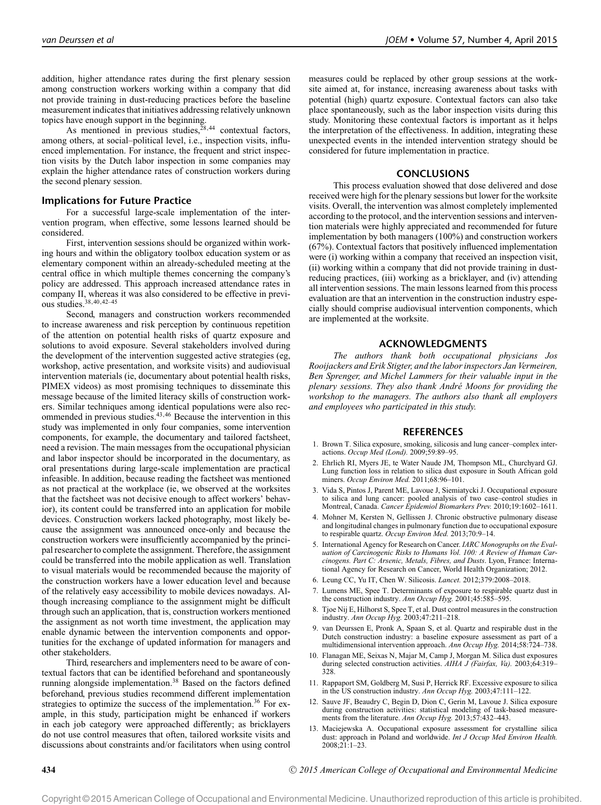addition, higher attendance rates during the first plenary session among construction workers working within a company that did not provide training in dust-reducing practices before the baseline measurement indicates that initiatives addressing relatively unknown topics have enough support in the beginning.

As mentioned in previous studies,  $28,44$  contextual factors, among others, at social–political level, i.e., inspection visits, influenced implementation. For instance, the frequent and strict inspection visits by the Dutch labor inspection in some companies may explain the higher attendance rates of construction workers during the second plenary session.

#### **Implications for Future Practice**

For a successful large-scale implementation of the intervention program, when effective, some lessons learned should be considered.

First, intervention sessions should be organized within working hours and within the obligatory toolbox education system or as elementary component within an already-scheduled meeting at the central office in which multiple themes concerning the company's policy are addressed. This approach increased attendance rates in company II, whereas it was also considered to be effective in previous studies.38,40,42–45

Second, managers and construction workers recommended to increase awareness and risk perception by continuous repetition of the attention on potential health risks of quartz exposure and solutions to avoid exposure. Several stakeholders involved during the development of the intervention suggested active strategies (eg, workshop, active presentation, and worksite visits) and audiovisual intervention materials (ie, documentary about potential health risks, PIMEX videos) as most promising techniques to disseminate this message because of the limited literacy skills of construction workers. Similar techniques among identical populations were also recommended in previous studies.43,46 Because the intervention in this study was implemented in only four companies, some intervention components, for example, the documentary and tailored factsheet, need a revision. The main messages from the occupational physician and labor inspector should be incorporated in the documentary, as oral presentations during large-scale implementation are practical infeasible. In addition, because reading the factsheet was mentioned as not practical at the workplace (ie, we observed at the worksites that the factsheet was not decisive enough to affect workers' behavior), its content could be transferred into an application for mobile devices. Construction workers lacked photography, most likely because the assignment was announced once-only and because the construction workers were insufficiently accompanied by the principal researcher to complete the assignment. Therefore, the assignment could be transferred into the mobile application as well. Translation to visual materials would be recommended because the majority of the construction workers have a lower education level and because of the relatively easy accessibility to mobile devices nowadays. Although increasing compliance to the assignment might be difficult through such an application, that is, construction workers mentioned the assignment as not worth time investment, the application may enable dynamic between the intervention components and opportunities for the exchange of updated information for managers and other stakeholders.

Third, researchers and implementers need to be aware of contextual factors that can be identified beforehand and spontaneously running alongside implementation.<sup>38</sup> Based on the factors defined beforehand, previous studies recommend different implementation strategies to optimize the success of the implementation.<sup>36</sup> For example, in this study, participation might be enhanced if workers in each job category were approached differently; as bricklayers do not use control measures that often, tailored worksite visits and discussions about constraints and/or facilitators when using control

measures could be replaced by other group sessions at the worksite aimed at, for instance, increasing awareness about tasks with potential (high) quartz exposure. Contextual factors can also take place spontaneously, such as the labor inspection visits during this study. Monitoring these contextual factors is important as it helps the interpretation of the effectiveness. In addition, integrating these unexpected events in the intended intervention strategy should be considered for future implementation in practice.

## **CONCLUSIONS**

This process evaluation showed that dose delivered and dose received were high for the plenary sessions but lower for the worksite visits. Overall, the intervention was almost completely implemented according to the protocol, and the intervention sessions and intervention materials were highly appreciated and recommended for future implementation by both managers (100%) and construction workers (67%). Contextual factors that positively influenced implementation were (i) working within a company that received an inspection visit, (ii) working within a company that did not provide training in dustreducing practices, (iii) working as a bricklayer, and (iv) attending all intervention sessions. The main lessons learned from this process evaluation are that an intervention in the construction industry especially should comprise audiovisual intervention components, which are implemented at the worksite.

## **ACKNOWLEDGMENTS**

*The authors thank both occupational physicians Jos Rooijackers and Erik Stigter, and the labor inspectors Jan Vermeiren, Ben Sprenger, and Michel Lammers for their valuable input in the plenary sessions. They also thank Andre Moons for providing the ´ workshop to the managers. The authors also thank all employers and employees who participated in this study.*

## **REFERENCES**

- 1. Brown T. Silica exposure, smoking, silicosis and lung cancer–complex interactions. *Occup Med (Lond).* 2009;59:89–95.
- 2. Ehrlich RI, Myers JE, te Water Naude JM, Thompson ML, Churchyard GJ. Lung function loss in relation to silica dust exposure in South African gold miners. *Occup Environ Med.* 2011;68:96–101.
- 3. Vida S, Pintos J, Parent ME, Lavoue J, Siemiatycki J. Occupational exposure to silica and lung cancer: pooled analysis of two case–control studies in Montreal, Canada. *Cancer Epidemiol Biomarkers Prev.* 2010;19:1602–1611.
- 4. Mohner M, Kersten N, Gellissen J. Chronic obstructive pulmonary disease and longitudinal changes in pulmonary function due to occupational exposure to respirable quartz. *Occup Environ Med.* 2013;70:9–14.
- 5. International Agency for Research on Cancer. *IARC Monographs on the Evaluation of Carcinogenic Risks to Humans Vol. 100: A Review of Human Carcinogens. Part C: Arsenic, Metals, Fibres, and Dusts*. Lyon, France: International Agency for Research on Cancer, World Health Organization; 2012.
- 6. Leung CC, Yu IT, Chen W. Silicosis. *Lancet.* 2012;379:2008–2018.
- 7. Lumens ME, Spee T. Determinants of exposure to respirable quartz dust in the construction industry. *Ann Occup Hyg.* 2001;45:585–595.
- 8. Tjoe Nij E, Hilhorst S, Spee T, et al. Dust control measures in the construction industry. *Ann Occup Hyg.* 2003;47:211–218.
- 9. van Deurssen E, Pronk A, Spaan S, et al. Quartz and respirable dust in the Dutch construction industry: a baseline exposure assessment as part of a multidimensional intervention approach. *Ann Occup Hyg.* 2014;58:724–738.
- 10. Flanagan ME, Seixas N, Majar M, Camp J, Morgan M. Silica dust exposures during selected construction activities. AIHA J (Fairfax, Va). 2003;64:319-328.
- 11. Rappaport SM, Goldberg M, Susi P, Herrick RF. Excessive exposure to silica in the US construction industry. *Ann Occup Hyg.* 2003;47:111–122.
- 12. Sauve JF, Beaudry C, Begin D, Dion C, Gerin M, Lavoue J. Silica exposure during construction activities: statistical modeling of task-based measurements from the literature. *Ann Occup Hyg.* 2013;57:432–443.
- 13. Maciejewska A. Occupational exposure assessment for crystalline silica dust: approach in Poland and worldwide. *Int J Occup Med Environ Health.* 2008;21:1–23.